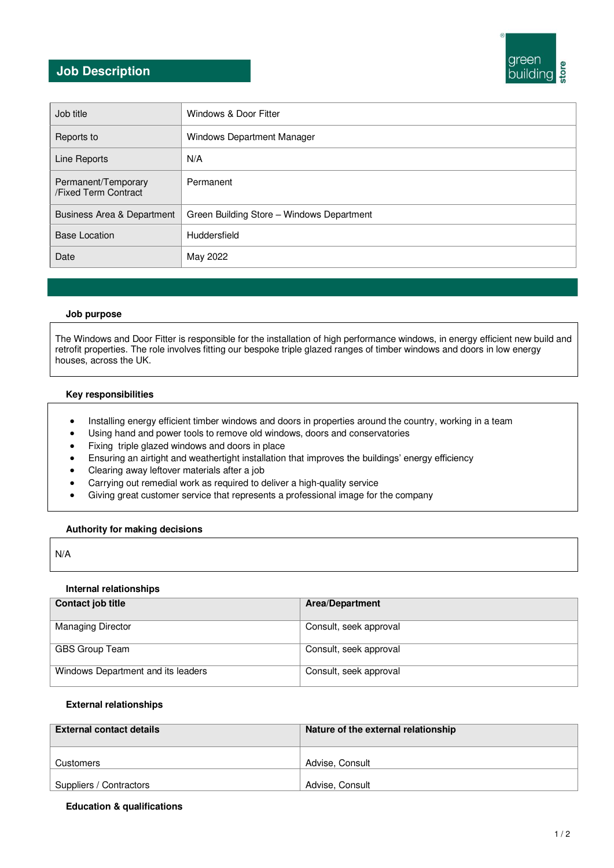# **Job Description**



| Job title                                   | Windows & Door Fitter                     |
|---------------------------------------------|-------------------------------------------|
| Reports to                                  | Windows Department Manager                |
| Line Reports                                | N/A                                       |
| Permanent/Temporary<br>/Fixed Term Contract | Permanent                                 |
| Business Area & Department                  | Green Building Store - Windows Department |
| <b>Base Location</b>                        | Huddersfield                              |
| Date                                        | May 2022                                  |

### **Job purpose**

The Windows and Door Fitter is responsible for the installation of high performance windows, in energy efficient new build and retrofit properties. The role involves fitting our bespoke triple glazed ranges of timber windows and doors in low energy houses, across the UK.

### **Key responsibilities**

- Installing energy efficient timber windows and doors in properties around the country, working in a team
- Using hand and power tools to remove old windows, doors and conservatories
- Fixing triple glazed windows and doors in place
- Ensuring an airtight and weathertight installation that improves the buildings' energy efficiency
- Clearing away leftover materials after a job
- Carrying out remedial work as required to deliver a high-quality service
- Giving great customer service that represents a professional image for the company

#### **Authority for making decisions**

### N/A

#### **Internal relationships**

| Contact job title                  | <b>Area/Department</b> |
|------------------------------------|------------------------|
| <b>Managing Director</b>           | Consult, seek approval |
| GBS Group Team                     | Consult, seek approval |
| Windows Department and its leaders | Consult, seek approval |

### **External relationships**

| <b>External contact details</b> | Nature of the external relationship |
|---------------------------------|-------------------------------------|
| Customers                       | Advise, Consult                     |
| Suppliers / Contractors         | Advise, Consult                     |

### **Education & qualifications**